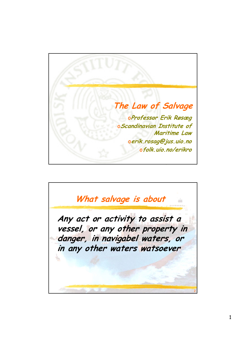

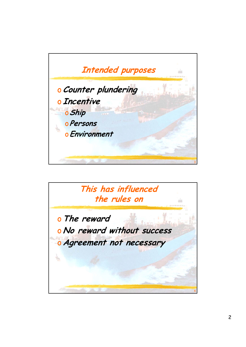

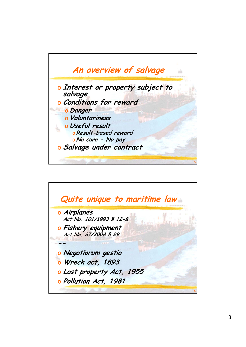

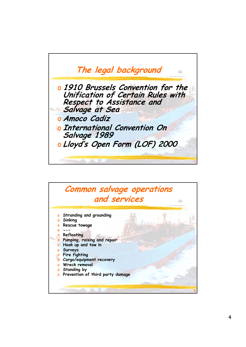

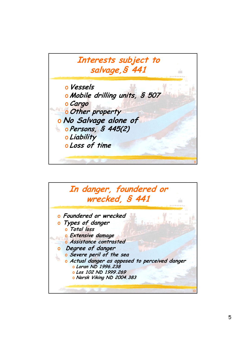**Interests subject to salvage,§ 441** o**Vessels** o **Mobile drilling units, § 507** o**Cargo** o**Other property** o **No Salvage alone of**  o **Persons, § 445(2)** o **Liability** o **Loss of time**  9

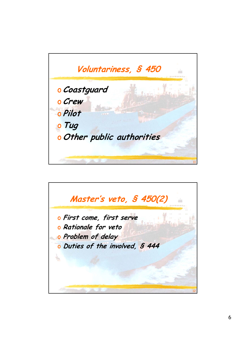**Voluntariness, § 450** o**Coastguard** o**Crew** o **Pilot** o**Tug** o**Other public authorities**  11

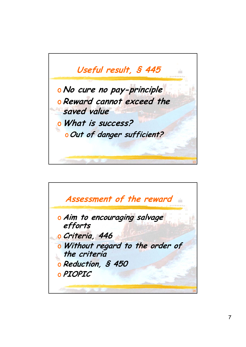

**Assessment of the reward** o **Aim to encouraging salvage efforts**  o **Criteria, 446** o **Without regard to the order of the criteria** o **Reduction, § 450** o **PIOPIC** 14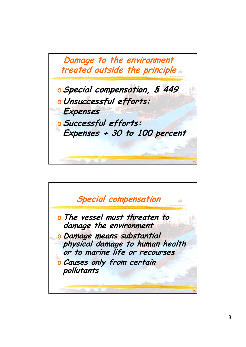

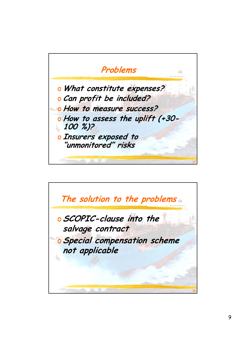**Problems** o **What constitute expenses?** o **Can profit be included?** o **How to measure success?** o **How to assess the uplift (+30- 100 %)?** o **Insurers exposed to "unmonitored" risks** 17

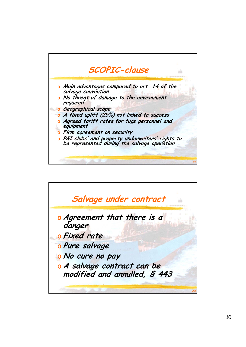

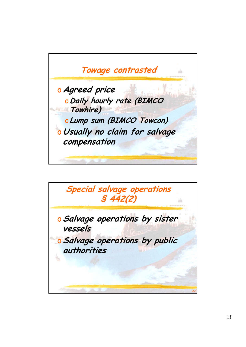

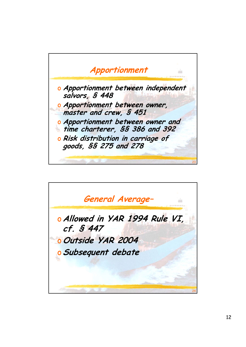